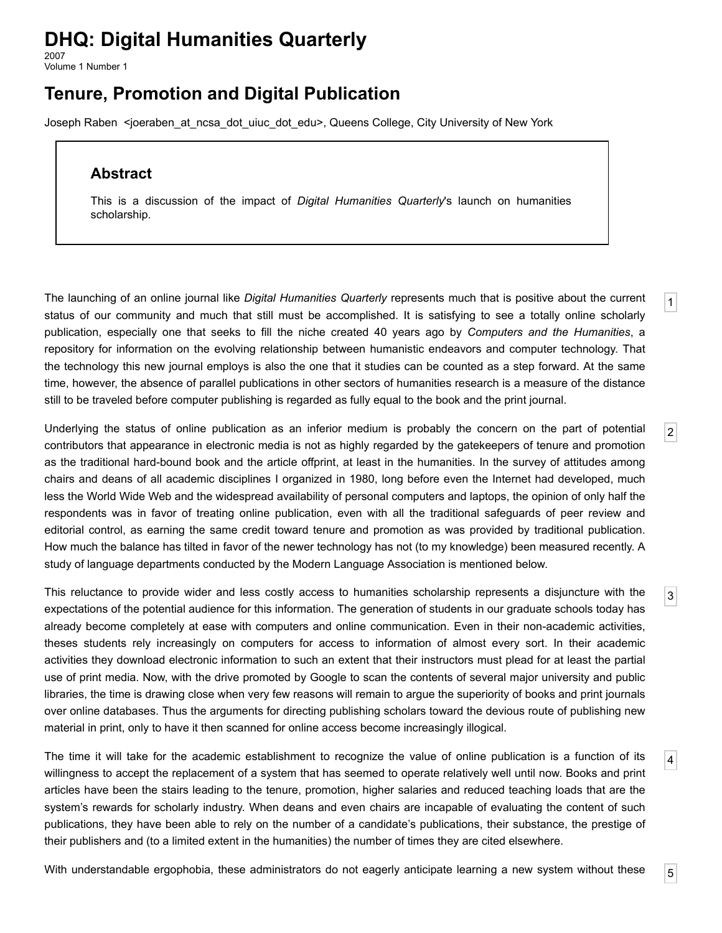## **DHQ: Digital Humanities Quarterly**

2007 Volume 1 Number 1

## **Tenure, Promotion and Digital Publication**

[Joseph Raben](http://www.digitalhumanities.org/dhq/vol/1/1/bios.html#raben_joseph) <[joeraben\\_at\\_ncsa\\_dot\\_uiuc\\_dot\\_edu>](mailto:joeraben_at_ncsa_dot_uiuc_dot_edu), Queens College, City University of New York

## **Abstract**

This is a discussion of the impact of *Digital Humanities Quarterly*'s launch on humanities scholarship.

<span id="page-0-0"></span>The launching of an online journal like *Digital Humanities Quarterly* represents much that is positive about the current status of our community and much that still must be accomplished. It is satisfying to see a totally online scholarly publication, especially one that seeks to fill the niche created 40 years ago by *Computers and the Humanities*, a repository for information on the evolving relationship between humanistic endeavors and computer technology. That the technology this new journal employs is also the one that it studies can be counted as a step forward. At the same time, however, the absence of parallel publications in other sectors of humanities research is a measure of the distance still to be traveled before computer publishing is regarded as fully equal to the book and the print journal.

<span id="page-0-1"></span>Underlying the status of online publication as an inferior medium is probably the concern on the part of potential contributors that appearance in electronic media is not as highly regarded by the gatekeepers of tenure and promotion as the traditional hard-bound book and the article offprint, at least in the humanities. In the survey of attitudes among chairs and deans of all academic disciplines I organized in 1980, long before even the Internet had developed, much less the World Wide Web and the widespread availability of personal computers and laptops, the opinion of only half the respondents was in favor of treating online publication, even with all the traditional safeguards of peer review and editorial control, as earning the same credit toward tenure and promotion as was provided by traditional publication. How much the balance has tilted in favor of the newer technology has not (to my knowledge) been measured recently. A study of language departments conducted by the Modern Language Association is mentioned below.

<span id="page-0-2"></span>This reluctance to provide wider and less costly access to humanities scholarship represents a disjuncture with the expectations of the potential audience for this information. The generation of students in our graduate schools today has already become completely at ease with computers and online communication. Even in their non-academic activities, theses students rely increasingly on computers for access to information of almost every sort. In their academic activities they download electronic information to such an extent that their instructors must plead for at least the partial use of print media. Now, with the drive promoted by Google to scan the contents of several major university and public libraries, the time is drawing close when very few reasons will remain to argue the superiority of books and print journals over online databases. Thus the arguments for directing publishing scholars toward the devious route of publishing new material in print, only to have it then scanned for online access become increasingly illogical.

<span id="page-0-3"></span>The time it will take for the academic establishment to recognize the value of online publication is a function of its willingness to accept the replacement of a system that has seemed to operate relatively well until now. Books and print articles have been the stairs leading to the tenure, promotion, higher salaries and reduced teaching loads that are the system's rewards for scholarly industry. When deans and even chairs are incapable of evaluating the content of such publications, they have been able to rely on the number of a candidate's publications, their substance, the prestige of their publishers and (to a limited extent in the humanities) the number of times they are cited elsewhere.

<span id="page-0-4"></span>With understandable ergophobia, these administrators do not eagerly anticipate learning a new system without these

[4](#page-0-3)

[1](#page-0-0)

[2](#page-0-1)

[3](#page-0-2)